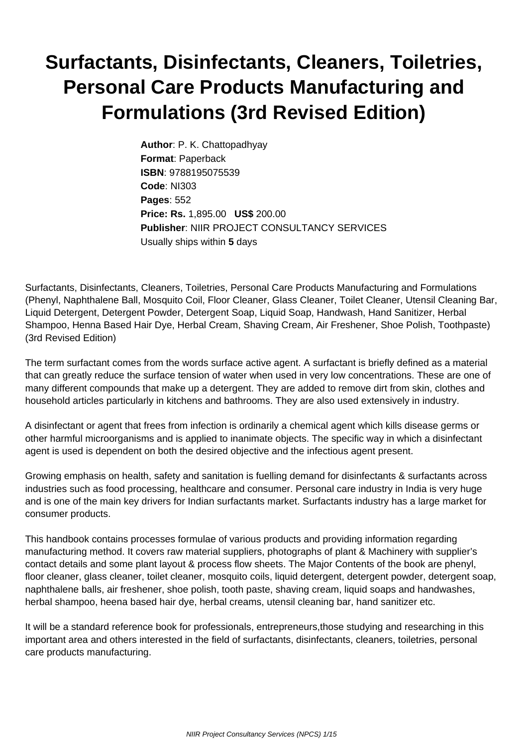## **Surfactants, Disinfectants, Cleaners, Toiletries, Personal Care Products Manufacturing and Formulations (3rd Revised Edition)**

**Author**: P. K. Chattopadhyay **Format**: Paperback **ISBN**: 9788195075539 **Code**: NI303 **Pages**: 552 **Price: Rs.** 1,895.00 **US\$** 200.00 **Publisher**: NIIR PROJECT CONSULTANCY SERVICES Usually ships within **5** days

Surfactants, Disinfectants, Cleaners, Toiletries, Personal Care Products Manufacturing and Formulations (Phenyl, Naphthalene Ball, Mosquito Coil, Floor Cleaner, Glass Cleaner, Toilet Cleaner, Utensil Cleaning Bar, Liquid Detergent, Detergent Powder, Detergent Soap, Liquid Soap, Handwash, Hand Sanitizer, Herbal Shampoo, Henna Based Hair Dye, Herbal Cream, Shaving Cream, Air Freshener, Shoe Polish, Toothpaste) (3rd Revised Edition)

The term surfactant comes from the words surface active agent. A surfactant is briefly defined as a material that can greatly reduce the surface tension of water when used in very low concentrations. These are one of many different compounds that make up a detergent. They are added to remove dirt from skin, clothes and household articles particularly in kitchens and bathrooms. They are also used extensively in industry.

A disinfectant or agent that frees from infection is ordinarily a chemical agent which kills disease germs or other harmful microorganisms and is applied to inanimate objects. The specific way in which a disinfectant agent is used is dependent on both the desired objective and the infectious agent present.

Growing emphasis on health, safety and sanitation is fuelling demand for disinfectants & surfactants across industries such as food processing, healthcare and consumer. Personal care industry in India is very huge and is one of the main key drivers for Indian surfactants market. Surfactants industry has a large market for consumer products.

This handbook contains processes formulae of various products and providing information regarding manufacturing method. It covers raw material suppliers, photographs of plant & Machinery with supplier's contact details and some plant layout & process flow sheets. The Major Contents of the book are phenyl, floor cleaner, glass cleaner, toilet cleaner, mosquito coils, liquid detergent, detergent powder, detergent soap, naphthalene balls, air freshener, shoe polish, tooth paste, shaving cream, liquid soaps and handwashes, herbal shampoo, heena based hair dye, herbal creams, utensil cleaning bar, hand sanitizer etc.

It will be a standard reference book for professionals, entrepreneurs,those studying and researching in this important area and others interested in the field of surfactants, disinfectants, cleaners, toiletries, personal care products manufacturing.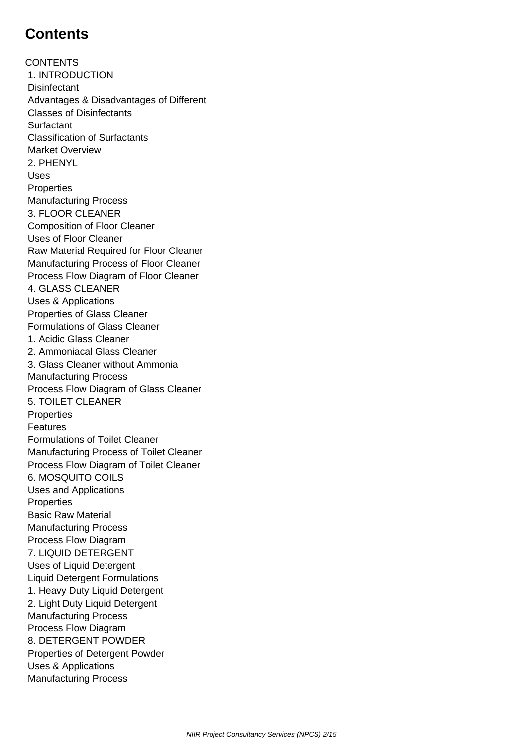## **Contents**

**CONTENTS**  1. INTRODUCTION **Disinfectant**  Advantages & Disadvantages of Different Classes of Disinfectants Surfactant Classification of Surfactants Market Overview 2. PHENYL Uses **Properties**  Manufacturing Process 3. FLOOR CLEANER Composition of Floor Cleaner Uses of Floor Cleaner Raw Material Required for Floor Cleaner Manufacturing Process of Floor Cleaner Process Flow Diagram of Floor Cleaner 4. GLASS CLEANER Uses & Applications Properties of Glass Cleaner Formulations of Glass Cleaner 1. Acidic Glass Cleaner 2. Ammoniacal Glass Cleaner 3. Glass Cleaner without Ammonia Manufacturing Process Process Flow Diagram of Glass Cleaner 5. TOILET CLEANER **Properties**  Features Formulations of Toilet Cleaner Manufacturing Process of Toilet Cleaner Process Flow Diagram of Toilet Cleaner 6. MOSQUITO COILS Uses and Applications **Properties**  Basic Raw Material Manufacturing Process Process Flow Diagram 7. LIQUID DETERGENT Uses of Liquid Detergent Liquid Detergent Formulations 1. Heavy Duty Liquid Detergent 2. Light Duty Liquid Detergent Manufacturing Process Process Flow Diagram 8. DETERGENT POWDER Properties of Detergent Powder Uses & Applications Manufacturing Process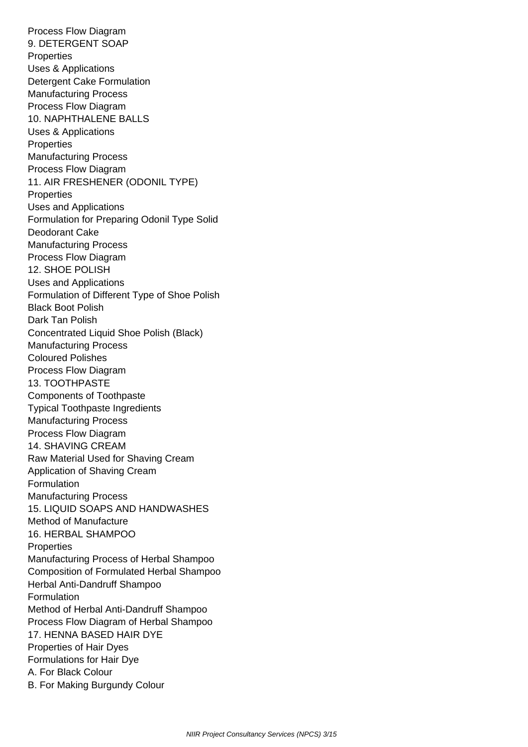Process Flow Diagram 9. DETERGENT SOAP **Properties**  Uses & Applications Detergent Cake Formulation Manufacturing Process Process Flow Diagram 10. NAPHTHALENE BALLS Uses & Applications **Properties**  Manufacturing Process Process Flow Diagram 11. AIR FRESHENER (ODONIL TYPE) **Properties**  Uses and Applications Formulation for Preparing Odonil Type Solid Deodorant Cake Manufacturing Process Process Flow Diagram 12. SHOE POLISH Uses and Applications Formulation of Different Type of Shoe Polish Black Boot Polish Dark Tan Polish Concentrated Liquid Shoe Polish (Black) Manufacturing Process Coloured Polishes Process Flow Diagram 13. TOOTHPASTE Components of Toothpaste Typical Toothpaste Ingredients Manufacturing Process Process Flow Diagram 14. SHAVING CREAM Raw Material Used for Shaving Cream Application of Shaving Cream Formulation Manufacturing Process 15. LIQUID SOAPS AND HANDWASHES Method of Manufacture 16. HERBAL SHAMPOO **Properties**  Manufacturing Process of Herbal Shampoo Composition of Formulated Herbal Shampoo Herbal Anti-Dandruff Shampoo Formulation Method of Herbal Anti-Dandruff Shampoo Process Flow Diagram of Herbal Shampoo 17. HENNA BASED HAIR DYE Properties of Hair Dyes Formulations for Hair Dye A. For Black Colour B. For Making Burgundy Colour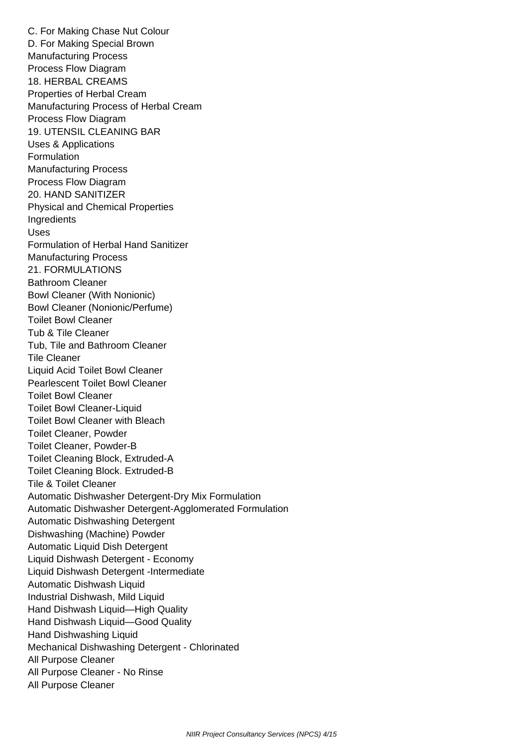C. For Making Chase Nut Colour D. For Making Special Brown Manufacturing Process Process Flow Diagram 18. HERBAL CREAMS Properties of Herbal Cream Manufacturing Process of Herbal Cream Process Flow Diagram 19. UTENSIL CLEANING BAR Uses & Applications Formulation Manufacturing Process Process Flow Diagram 20. HAND SANITIZER Physical and Chemical Properties **Ingredients**  Uses Formulation of Herbal Hand Sanitizer Manufacturing Process 21. FORMULATIONS Bathroom Cleaner Bowl Cleaner (With Nonionic) Bowl Cleaner (Nonionic/Perfume) Toilet Bowl Cleaner Tub & Tile Cleaner Tub, Tile and Bathroom Cleaner Tile Cleaner Liquid Acid Toilet Bowl Cleaner Pearlescent Toilet Bowl Cleaner Toilet Bowl Cleaner Toilet Bowl Cleaner-Liquid Toilet Bowl Cleaner with Bleach Toilet Cleaner, Powder Toilet Cleaner, Powder-B Toilet Cleaning Block, Extruded-A Toilet Cleaning Block. Extruded-B Tile & Toilet Cleaner Automatic Dishwasher Detergent-Dry Mix Formulation Automatic Dishwasher Detergent-Agglomerated Formulation Automatic Dishwashing Detergent Dishwashing (Machine) Powder Automatic Liquid Dish Detergent Liquid Dishwash Detergent - Economy Liquid Dishwash Detergent -Intermediate Automatic Dishwash Liquid Industrial Dishwash, Mild Liquid Hand Dishwash Liquid—High Quality Hand Dishwash Liquid—Good Quality Hand Dishwashing Liquid Mechanical Dishwashing Detergent - Chlorinated All Purpose Cleaner All Purpose Cleaner - No Rinse All Purpose Cleaner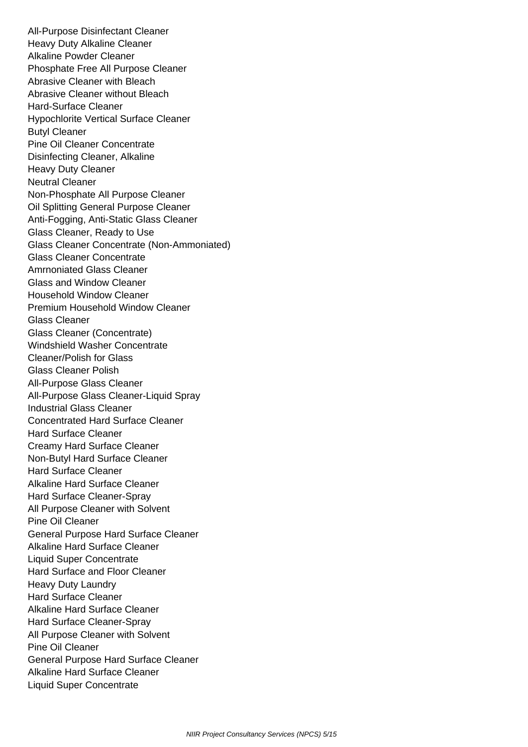All-Purpose Disinfectant Cleaner Heavy Duty Alkaline Cleaner Alkaline Powder Cleaner Phosphate Free All Purpose Cleaner Abrasive Cleaner with Bleach Abrasive Cleaner without Bleach Hard-Surface Cleaner Hypochlorite Vertical Surface Cleaner Butyl Cleaner Pine Oil Cleaner Concentrate Disinfecting Cleaner, Alkaline Heavy Duty Cleaner Neutral Cleaner Non-Phosphate All Purpose Cleaner Oil Splitting General Purpose Cleaner Anti-Fogging, Anti-Static Glass Cleaner Glass Cleaner, Ready to Use Glass Cleaner Concentrate (Non-Ammoniated) Glass Cleaner Concentrate Amrnoniated Glass Cleaner Glass and Window Cleaner Household Window Cleaner Premium Household Window Cleaner Glass Cleaner Glass Cleaner (Concentrate) Windshield Washer Concentrate Cleaner/Polish for Glass Glass Cleaner Polish All-Purpose Glass Cleaner All-Purpose Glass Cleaner-Liquid Spray Industrial Glass Cleaner Concentrated Hard Surface Cleaner Hard Surface Cleaner Creamy Hard Surface Cleaner Non-Butyl Hard Surface Cleaner Hard Surface Cleaner Alkaline Hard Surface Cleaner Hard Surface Cleaner-Spray All Purpose Cleaner with Solvent Pine Oil Cleaner General Purpose Hard Surface Cleaner Alkaline Hard Surface Cleaner Liquid Super Concentrate Hard Surface and Floor Cleaner Heavy Duty Laundry Hard Surface Cleaner Alkaline Hard Surface Cleaner Hard Surface Cleaner-Spray All Purpose Cleaner with Solvent Pine Oil Cleaner General Purpose Hard Surface Cleaner Alkaline Hard Surface Cleaner Liquid Super Concentrate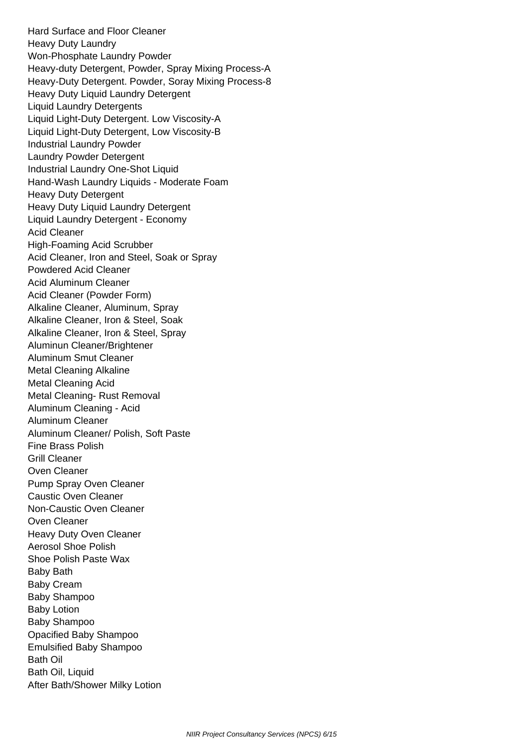Hard Surface and Floor Cleaner Heavy Duty Laundry Won-Phosphate Laundry Powder Heavy-duty Detergent, Powder, Spray Mixing Process-A Heavy-Duty Detergent. Powder, Soray Mixing Process-8 Heavy Duty Liquid Laundry Detergent Liquid Laundry Detergents Liquid Light-Duty Detergent. Low Viscosity-A Liquid Light-Duty Detergent, Low Viscosity-B Industrial Laundry Powder Laundry Powder Detergent Industrial Laundry One-Shot Liquid Hand-Wash Laundry Liquids - Moderate Foam Heavy Duty Detergent Heavy Duty Liquid Laundry Detergent Liquid Laundry Detergent - Economy Acid Cleaner High-Foaming Acid Scrubber Acid Cleaner, Iron and Steel, Soak or Spray Powdered Acid Cleaner Acid Aluminum Cleaner Acid Cleaner (Powder Form) Alkaline Cleaner, Aluminum, Spray Alkaline Cleaner, Iron & Steel, Soak Alkaline Cleaner, Iron & Steel, Spray Aluminun Cleaner/Brightener Aluminum Smut Cleaner Metal Cleaning Alkaline Metal Cleaning Acid Metal Cleaning- Rust Removal Aluminum Cleaning - Acid Aluminum Cleaner Aluminum Cleaner/ Polish, Soft Paste Fine Brass Polish Grill Cleaner Oven Cleaner Pump Spray Oven Cleaner Caustic Oven Cleaner Non-Caustic Oven Cleaner Oven Cleaner Heavy Duty Oven Cleaner Aerosol Shoe Polish Shoe Polish Paste Wax Baby Bath Baby Cream Baby Shampoo Baby Lotion Baby Shampoo Opacified Baby Shampoo Emulsified Baby Shampoo Bath Oil Bath Oil, Liquid After Bath/Shower Milky Lotion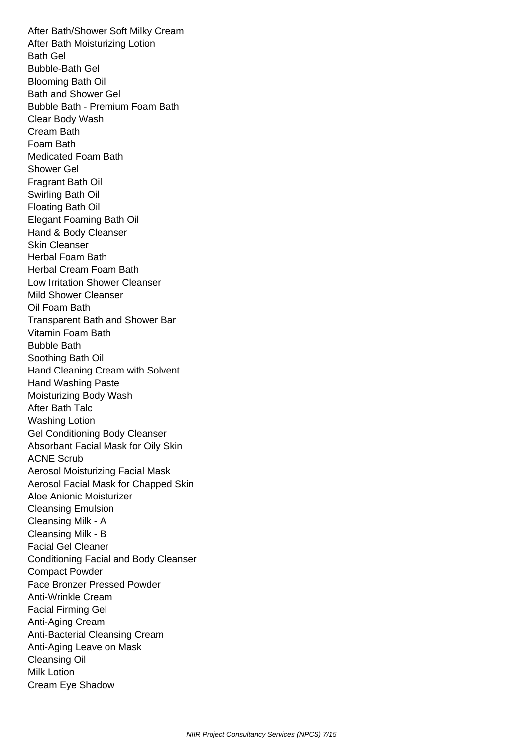After Bath/Shower Soft Milky Cream After Bath Moisturizing Lotion Bath Gel Bubble-Bath Gel Blooming Bath Oil Bath and Shower Gel Bubble Bath - Premium Foam Bath Clear Body Wash Cream Bath Foam Bath Medicated Foam Bath Shower Gel Fragrant Bath Oil Swirling Bath Oil Floating Bath Oil Elegant Foaming Bath Oil Hand & Body Cleanser Skin Cleanser Herbal Foam Bath Herbal Cream Foam Bath Low Irritation Shower Cleanser Mild Shower Cleanser Oil Foam Bath Transparent Bath and Shower Bar Vitamin Foam Bath Bubble Bath Soothing Bath Oil Hand Cleaning Cream with Solvent Hand Washing Paste Moisturizing Body Wash After Bath Talc Washing Lotion Gel Conditioning Body Cleanser Absorbant Facial Mask for Oily Skin ACNE Scrub Aerosol Moisturizing Facial Mask Aerosol Facial Mask for Chapped Skin Aloe Anionic Moisturizer Cleansing Emulsion Cleansing Milk - A Cleansing Milk - B Facial Gel Cleaner Conditioning Facial and Body Cleanser Compact Powder Face Bronzer Pressed Powder Anti-Wrinkle Cream Facial Firming Gel Anti-Aging Cream Anti-Bacterial Cleansing Cream Anti-Aging Leave on Mask Cleansing Oil Milk Lotion Cream Eye Shadow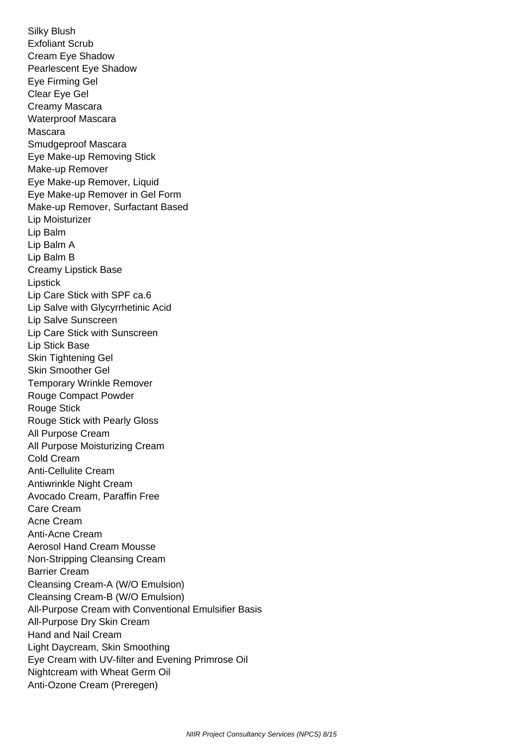Silky Blush Exfoliant Scrub Cream Eye Shadow Pearlescent Eye Shadow Eye Firming Gel Clear Eye Gel Creamy Mascara Waterproof Mascara Mascara Smudgeproof Mascara Eye Make-up Removing Stick Make-up Remover Eye Make-up Remover, Liquid Eye Make-up Remover in Gel Form Make-up Remover, Surfactant Based Lip Moisturizer Lip Balm Lip Balm A Lip Balm B Creamy Lipstick Base Lipstick Lip Care Stick with SPF ca.6 Lip Salve with Glycyrrhetinic Acid Lip Salve Sunscreen Lip Care Stick with Sunscreen Lip Stick Base Skin Tightening Gel Skin Smoother Gel Temporary Wrinkle Remover Rouge Compact Powder Rouge Stick Rouge Stick with Pearly Gloss All Purpose Cream All Purpose Moisturizing Cream Cold Cream Anti-Cellulite Cream Antiwrinkle Night Cream Avocado Cream, Paraffin Free Care Cream Acne Cream Anti-Acne Cream Aerosol Hand Cream Mousse Non-Stripping Cleansing Cream Barrier Cream Cleansing Cream-A (W/O Emulsion) Cleansing Cream-B (W/O Emulsion) All-Purpose Cream with Conventional Emulsifier Basis All-Purpose Dry Skin Cream Hand and Nail Cream Light Daycream, Skin Smoothing Eye Cream with UV-filter and Evening Primrose Oil Nightcream with Wheat Germ Oil Anti-Ozone Cream (Preregen)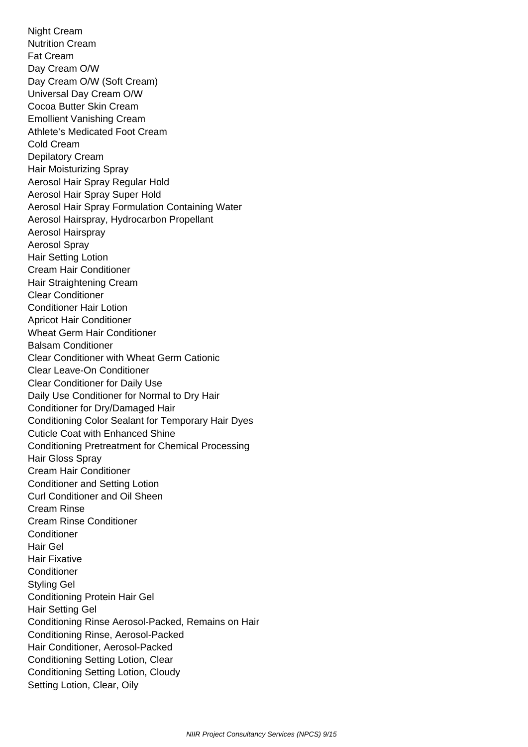Night Cream Nutrition Cream Fat Cream Day Cream O/W Day Cream O/W (Soft Cream) Universal Day Cream O/W Cocoa Butter Skin Cream Emollient Vanishing Cream Athlete's Medicated Foot Cream Cold Cream Depilatory Cream Hair Moisturizing Spray Aerosol Hair Spray Regular Hold Aerosol Hair Spray Super Hold Aerosol Hair Spray Formulation Containing Water Aerosol Hairspray, Hydrocarbon Propellant Aerosol Hairspray Aerosol Spray Hair Setting Lotion Cream Hair Conditioner Hair Straightening Cream Clear Conditioner Conditioner Hair Lotion Apricot Hair Conditioner Wheat Germ Hair Conditioner Balsam Conditioner Clear Conditioner with Wheat Germ Cationic Clear Leave-On Conditioner Clear Conditioner for Daily Use Daily Use Conditioner for Normal to Dry Hair Conditioner for Dry/Damaged Hair Conditioning Color Sealant for Temporary Hair Dyes Cuticle Coat with Enhanced Shine Conditioning Pretreatment for Chemical Processing Hair Gloss Spray Cream Hair Conditioner Conditioner and Setting Lotion Curl Conditioner and Oil Sheen Cream Rinse Cream Rinse Conditioner **Conditioner**  Hair Gel Hair Fixative **Conditioner**  Styling Gel Conditioning Protein Hair Gel Hair Setting Gel Conditioning Rinse Aerosol-Packed, Remains on Hair Conditioning Rinse, Aerosol-Packed Hair Conditioner, Aerosol-Packed Conditioning Setting Lotion, Clear Conditioning Setting Lotion, Cloudy Setting Lotion, Clear, Oily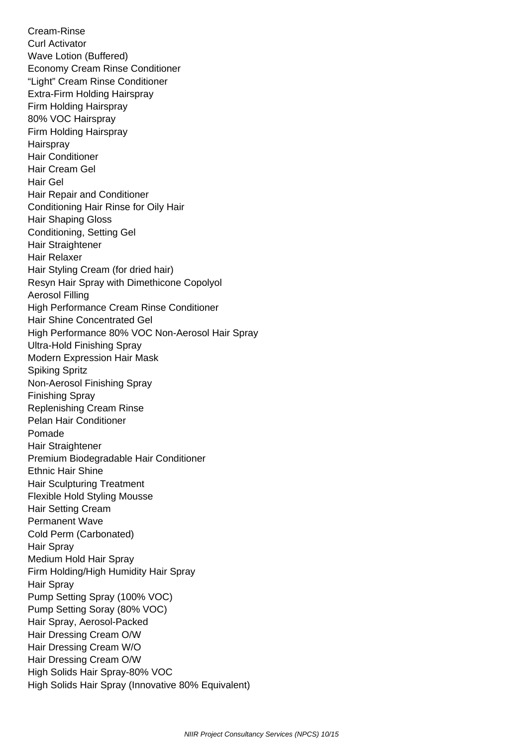Cream-Rinse Curl Activator Wave Lotion (Buffered) Economy Cream Rinse Conditioner "Light" Cream Rinse Conditioner Extra-Firm Holding Hairspray Firm Holding Hairspray 80% VOC Hairspray Firm Holding Hairspray **Hairspray**  Hair Conditioner Hair Cream Gel Hair Gel Hair Repair and Conditioner Conditioning Hair Rinse for Oily Hair Hair Shaping Gloss Conditioning, Setting Gel Hair Straightener Hair Relaxer Hair Styling Cream (for dried hair) Resyn Hair Spray with Dimethicone Copolyol Aerosol Filling High Performance Cream Rinse Conditioner Hair Shine Concentrated Gel High Performance 80% VOC Non-Aerosol Hair Spray Ultra-Hold Finishing Spray Modern Expression Hair Mask Spiking Spritz Non-Aerosol Finishing Spray Finishing Spray Replenishing Cream Rinse Pelan Hair Conditioner Pomade Hair Straightener Premium Biodegradable Hair Conditioner Ethnic Hair Shine Hair Sculpturing Treatment Flexible Hold Styling Mousse Hair Setting Cream Permanent Wave Cold Perm (Carbonated) Hair Spray Medium Hold Hair Spray Firm Holding/High Humidity Hair Spray Hair Spray Pump Setting Spray (100% VOC) Pump Setting Soray (80% VOC) Hair Spray, Aerosol-Packed Hair Dressing Cream O/W Hair Dressing Cream W/O Hair Dressing Cream O/W High Solids Hair Spray-80% VOC High Solids Hair Spray (Innovative 80% Equivalent)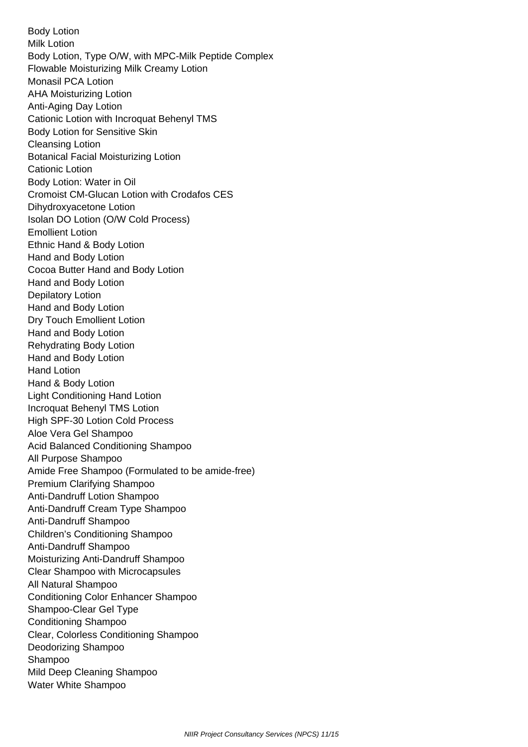Body Lotion Milk Lotion Body Lotion, Type O/W, with MPC-Milk Peptide Complex Flowable Moisturizing Milk Creamy Lotion Monasil PCA Lotion AHA Moisturizing Lotion Anti-Aging Day Lotion Cationic Lotion with Incroquat Behenyl TMS Body Lotion for Sensitive Skin Cleansing Lotion Botanical Facial Moisturizing Lotion Cationic Lotion Body Lotion: Water in Oil Cromoist CM-Glucan Lotion with Crodafos CES Dihydroxyacetone Lotion Isolan DO Lotion (O/W Cold Process) Emollient Lotion Ethnic Hand & Body Lotion Hand and Body Lotion Cocoa Butter Hand and Body Lotion Hand and Body Lotion Depilatory Lotion Hand and Body Lotion Dry Touch Emollient Lotion Hand and Body Lotion Rehydrating Body Lotion Hand and Body Lotion Hand Lotion Hand & Body Lotion Light Conditioning Hand Lotion Incroquat Behenyl TMS Lotion High SPF-30 Lotion Cold Process Aloe Vera Gel Shampoo Acid Balanced Conditioning Shampoo All Purpose Shampoo Amide Free Shampoo (Formulated to be amide-free) Premium Clarifying Shampoo Anti-Dandruff Lotion Shampoo Anti-Dandruff Cream Type Shampoo Anti-Dandruff Shampoo Children's Conditioning Shampoo Anti-Dandruff Shampoo Moisturizing Anti-Dandruff Shampoo Clear Shampoo with Microcapsules All Natural Shampoo Conditioning Color Enhancer Shampoo Shampoo-Clear Gel Type Conditioning Shampoo Clear, Colorless Conditioning Shampoo Deodorizing Shampoo Shampoo Mild Deep Cleaning Shampoo Water White Shampoo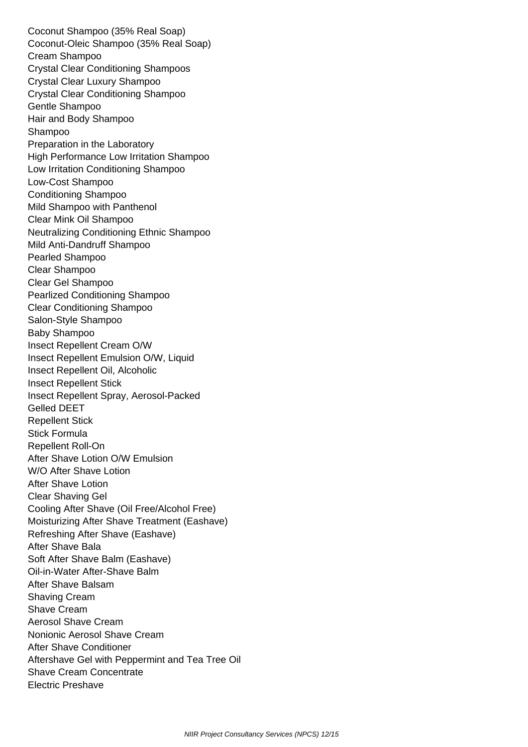Coconut Shampoo (35% Real Soap) Coconut-Oleic Shampoo (35% Real Soap) Cream Shampoo Crystal Clear Conditioning Shampoos Crystal Clear Luxury Shampoo Crystal Clear Conditioning Shampoo Gentle Shampoo Hair and Body Shampoo Shampoo Preparation in the Laboratory High Performance Low Irritation Shampoo Low Irritation Conditioning Shampoo Low-Cost Shampoo Conditioning Shampoo Mild Shampoo with Panthenol Clear Mink Oil Shampoo Neutralizing Conditioning Ethnic Shampoo Mild Anti-Dandruff Shampoo Pearled Shampoo Clear Shampoo Clear Gel Shampoo Pearlized Conditioning Shampoo Clear Conditioning Shampoo Salon-Style Shampoo Baby Shampoo Insect Repellent Cream O/W Insect Repellent Emulsion O/W, Liquid Insect Repellent Oil, Alcoholic Insect Repellent Stick Insect Repellent Spray, Aerosol-Packed Gelled DEET Repellent Stick Stick Formula Repellent Roll-On After Shave Lotion O/W Emulsion W/O After Shave Lotion After Shave Lotion Clear Shaving Gel Cooling After Shave (Oil Free/Alcohol Free) Moisturizing After Shave Treatment (Eashave) Refreshing After Shave (Eashave) After Shave Bala Soft After Shave Balm (Eashave) Oil-in-Water After-Shave Balm After Shave Balsam Shaving Cream Shave Cream Aerosol Shave Cream Nonionic Aerosol Shave Cream After Shave Conditioner Aftershave Gel with Peppermint and Tea Tree Oil Shave Cream Concentrate Electric Preshave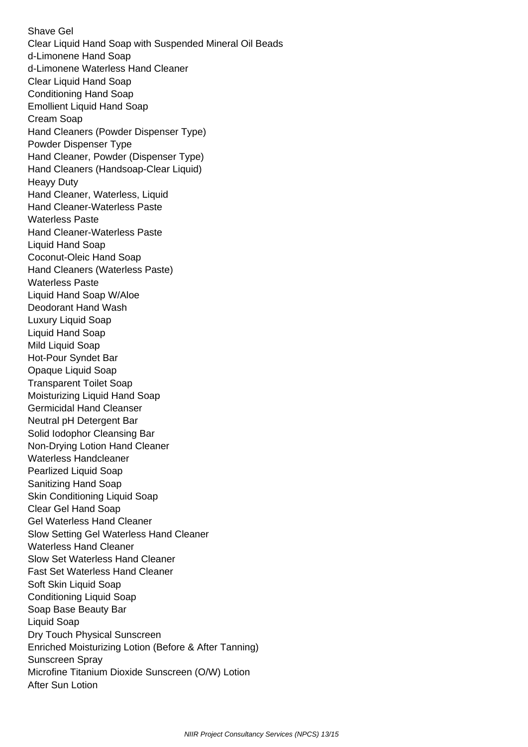Shave Gel Clear Liquid Hand Soap with Suspended Mineral Oil Beads d-Limonene Hand Soap d-Limonene Waterless Hand Cleaner Clear Liquid Hand Soap Conditioning Hand Soap Emollient Liquid Hand Soap Cream Soap Hand Cleaners (Powder Dispenser Type) Powder Dispenser Type Hand Cleaner, Powder (Dispenser Type) Hand Cleaners (Handsoap-Clear Liquid) Heayy Duty Hand Cleaner, Waterless, Liquid Hand Cleaner-Waterless Paste Waterless Paste Hand Cleaner-Waterless Paste Liquid Hand Soap Coconut-Oleic Hand Soap Hand Cleaners (Waterless Paste) Waterless Paste Liquid Hand Soap W/Aloe Deodorant Hand Wash Luxury Liquid Soap Liquid Hand Soap Mild Liquid Soap Hot-Pour Syndet Bar Opaque Liquid Soap Transparent Toilet Soap Moisturizing Liquid Hand Soap Germicidal Hand Cleanser Neutral pH Detergent Bar Solid Iodophor Cleansing Bar Non-Drying Lotion Hand Cleaner Waterless Handcleaner Pearlized Liquid Soap Sanitizing Hand Soap Skin Conditioning Liquid Soap Clear Gel Hand Soap Gel Waterless Hand Cleaner Slow Setting Gel Waterless Hand Cleaner Waterless Hand Cleaner Slow Set Waterless Hand Cleaner Fast Set Waterless Hand Cleaner Soft Skin Liquid Soap Conditioning Liquid Soap Soap Base Beauty Bar Liquid Soap Dry Touch Physical Sunscreen Enriched Moisturizing Lotion (Before & After Tanning) Sunscreen Spray Microfine Titanium Dioxide Sunscreen (O/W) Lotion After Sun Lotion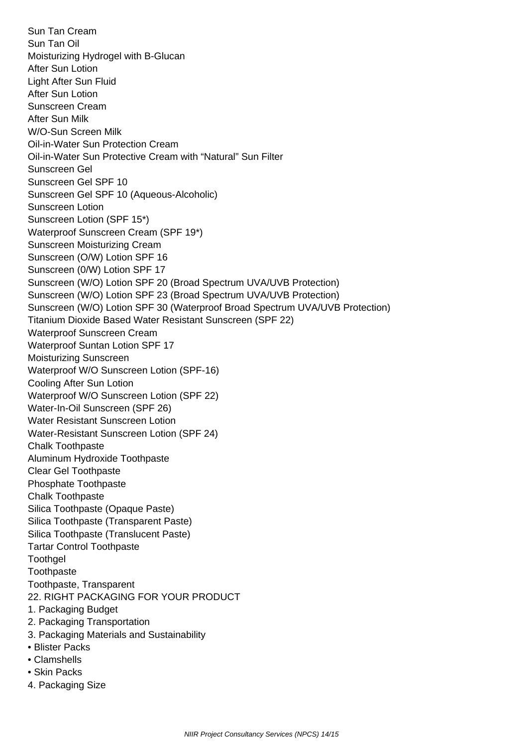Sun Tan Cream Sun Tan Oil Moisturizing Hydrogel with B-Glucan After Sun Lotion Light After Sun Fluid After Sun Lotion Sunscreen Cream After Sun Milk W/O-Sun Screen Milk Oil-in-Water Sun Protection Cream Oil-in-Water Sun Protective Cream with "Natural" Sun Filter Sunscreen Gel Sunscreen Gel SPF 10 Sunscreen Gel SPF 10 (Aqueous-Alcoholic) Sunscreen Lotion Sunscreen Lotion (SPF 15\*) Waterproof Sunscreen Cream (SPF 19\*) Sunscreen Moisturizing Cream Sunscreen (O/W) Lotion SPF 16 Sunscreen (0/W) Lotion SPF 17 Sunscreen (W/O) Lotion SPF 20 (Broad Spectrum UVA/UVB Protection) Sunscreen (W/O) Lotion SPF 23 (Broad Spectrum UVA/UVB Protection) Sunscreen (W/O) Lotion SPF 30 (Waterproof Broad Spectrum UVA/UVB Protection) Titanium Dioxide Based Water Resistant Sunscreen (SPF 22) Waterproof Sunscreen Cream Waterproof Suntan Lotion SPF 17 Moisturizing Sunscreen Waterproof W/O Sunscreen Lotion (SPF-16) Cooling After Sun Lotion Waterproof W/O Sunscreen Lotion (SPF 22) Water-In-Oil Sunscreen (SPF 26) Water Resistant Sunscreen Lotion Water-Resistant Sunscreen Lotion (SPF 24) Chalk Toothpaste Aluminum Hydroxide Toothpaste Clear Gel Toothpaste Phosphate Toothpaste Chalk Toothpaste Silica Toothpaste (Opaque Paste) Silica Toothpaste (Transparent Paste) Silica Toothpaste (Translucent Paste) Tartar Control Toothpaste **Toothgel Toothpaste**  Toothpaste, Transparent 22. RIGHT PACKAGING FOR YOUR PRODUCT 1. Packaging Budget 2. Packaging Transportation 3. Packaging Materials and Sustainability • Blister Packs • Clamshells • Skin Packs

4. Packaging Size